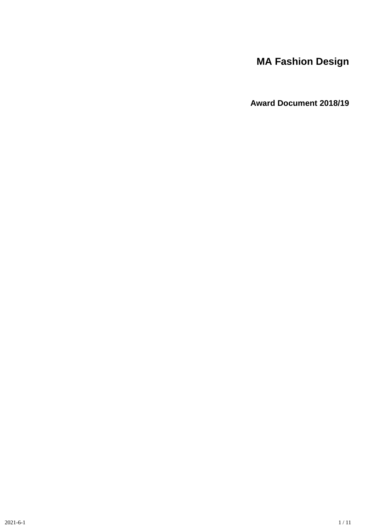# **MA Fashion Design**

**Award Document 2018/19**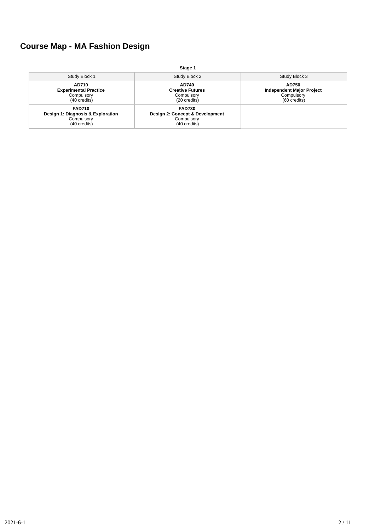# **Course Map - MA Fashion Design**

|                                                                                  | Stage 1                                                                        |                                                                         |
|----------------------------------------------------------------------------------|--------------------------------------------------------------------------------|-------------------------------------------------------------------------|
| Study Block 1                                                                    | Study Block 2                                                                  | Study Block 3                                                           |
| <b>AD710</b><br><b>Experimental Practice</b><br>Compulsory<br>(40 credits)       | <b>AD740</b><br><b>Creative Futures</b><br>Compulsory<br>(20 credits)          | AD750<br><b>Independent Major Project</b><br>Compulsory<br>(60 credits) |
| <b>FAD710</b><br>Design 1: Diagnosis & Exploration<br>Compulsory<br>(40 credits) | <b>FAD730</b><br>Design 2: Concept & Development<br>Compulsory<br>(40 credits) |                                                                         |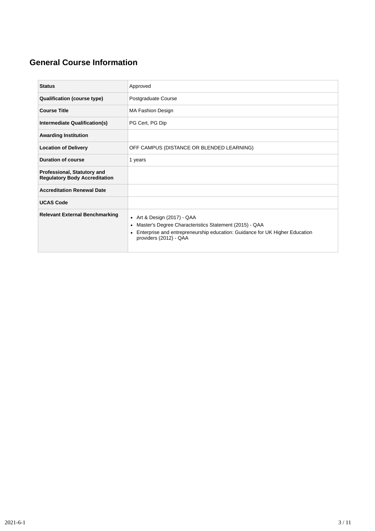# **General Course Information**

| <b>Status</b>                                                       | Approved                                                                                                                                                                                                                   |
|---------------------------------------------------------------------|----------------------------------------------------------------------------------------------------------------------------------------------------------------------------------------------------------------------------|
| <b>Qualification (course type)</b>                                  | Postgraduate Course                                                                                                                                                                                                        |
| <b>Course Title</b>                                                 | <b>MA Fashion Design</b>                                                                                                                                                                                                   |
| Intermediate Qualification(s)                                       | PG Cert, PG Dip                                                                                                                                                                                                            |
| <b>Awarding Institution</b>                                         |                                                                                                                                                                                                                            |
| <b>Location of Delivery</b>                                         | OFF CAMPUS (DISTANCE OR BLENDED LEARNING)                                                                                                                                                                                  |
| <b>Duration of course</b>                                           | 1 years                                                                                                                                                                                                                    |
| Professional, Statutory and<br><b>Regulatory Body Accreditation</b> |                                                                                                                                                                                                                            |
| <b>Accreditation Renewal Date</b>                                   |                                                                                                                                                                                                                            |
| <b>UCAS Code</b>                                                    |                                                                                                                                                                                                                            |
| <b>Relevant External Benchmarking</b>                               | • Art & Design $(2017)$ - QAA<br>Master's Degree Characteristics Statement (2015) - QAA<br>$\bullet$<br>Enterprise and entrepreneurship education: Guidance for UK Higher Education<br>$\bullet$<br>providers (2012) - QAA |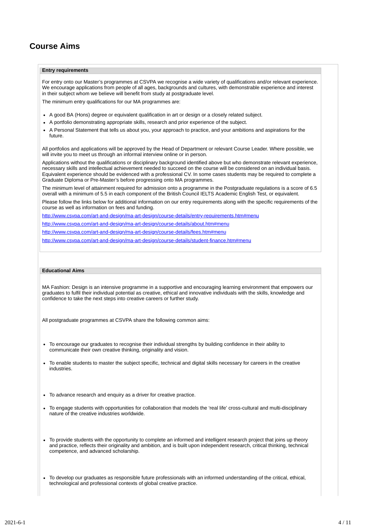# **Course Aims**

### **Entry requirements**

For entry onto our Master's programmes at CSVPA we recognise a wide variety of qualifications and/or relevant experience. We encourage applications from people of all ages, backgrounds and cultures, with demonstrable experience and interest in their subject whom we believe will benefit from study at postgraduate level.

The minimum entry qualifications for our MA programmes are:

- A good BA (Hons) degree or equivalent qualification in art or design or a closely related subject.
- A portfolio demonstrating appropriate skills, research and prior experience of the subject.
- A Personal Statement that tells us about you, your approach to practice, and your ambitions and aspirations for the future.

All portfolios and applications will be approved by the Head of Department or relevant Course Leader. Where possible, we will invite you to meet us through an informal interview online or in person.

Applications without the qualifications or disciplinary background identified above but who demonstrate relevant experience, necessary skills and intellectual achievement needed to succeed on the course will be considered on an individual basis. Equivalent experience should be evidenced with a professional CV. In some cases students may be required to complete a Graduate Diploma or Pre-Master's before progressing onto MA programmes.

The minimum level of attainment required for admission onto a programme in the Postgraduate regulations is a score of 6.5 overall with a minimum of 5.5 in each component of the British Council IELTS Academic English Test, or equivalent.

Please follow the links below for additional information on our entry requirements along with the specific requirements of the course as well as information on fees and funding.

<http://www.csvpa.com/art-and-design/ma-art-design/course-details/entry-requirements.htm#menu>

<http://www.csvpa.com/art-and-design/ma-art-design/course-details/about.htm#menu>

<http://www.csvpa.com/art-and-design/ma-art-design/course-details/fees.htm#menu>

<http://www.csvpa.com/art-and-design/ma-art-design/course-details/student-finance.htm#menu>

### **Educational Aims**

MA Fashion: Design is an intensive programme in a supportive and encouraging learning environment that empowers our graduates to fulfil their individual potential as creative, ethical and innovative individuals with the skills, knowledge and confidence to take the next steps into creative careers or further study.

All postgraduate programmes at CSVPA share the following common aims:

- To encourage our graduates to recognise their individual strengths by building confidence in their ability to communicate their own creative thinking, originality and vision.
- To enable students to master the subject specific, technical and digital skills necessary for careers in the creative industries.
- To advance research and enquiry as a driver for creative practice.
- To engage students with opportunities for collaboration that models the 'real life' cross-cultural and multi-disciplinary nature of the creative industries worldwide.
- To provide students with the opportunity to complete an informed and intelligent research project that joins up theory and practice, reflects their originality and ambition, and is built upon independent research, critical thinking, technical competence, and advanced scholarship.
- To develop our graduates as responsible future professionals with an informed understanding of the critical, ethical, technological and professional contexts of global creative practice.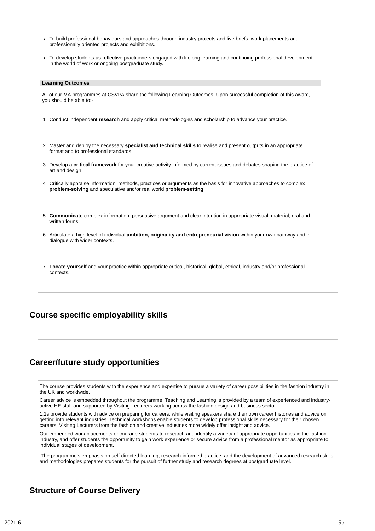| • To build professional behaviours and approaches through industry projects and live briefs, work placements and<br>professionally oriented projects and exhibitions.                       |
|---------------------------------------------------------------------------------------------------------------------------------------------------------------------------------------------|
| • To develop students as reflective practitioners engaged with lifelong learning and continuing professional development<br>in the world of work or ongoing postgraduate study.             |
| <b>Learning Outcomes</b>                                                                                                                                                                    |
|                                                                                                                                                                                             |
| All of our MA programmes at CSVPA share the following Learning Outcomes. Upon successful completion of this award,<br>you should be able to:-                                               |
| 1. Conduct independent research and apply critical methodologies and scholarship to advance your practice.                                                                                  |
|                                                                                                                                                                                             |
| 2. Master and deploy the necessary specialist and technical skills to realise and present outputs in an appropriate<br>format and to professional standards.                                |
| 3. Develop a critical framework for your creative activity informed by current issues and debates shaping the practice of<br>art and design.                                                |
| 4. Critically appraise information, methods, practices or arguments as the basis for innovative approaches to complex<br>problem-solving and speculative and/or real world problem-setting. |
|                                                                                                                                                                                             |
|                                                                                                                                                                                             |
| 5. Communicate complex information, persuasive argument and clear intention in appropriate visual, material, oral and<br>written forms.                                                     |
| 6. Articulate a high level of individual ambition, originality and entrepreneurial vision within your own pathway and in<br>dialogue with wider contexts.                                   |
|                                                                                                                                                                                             |
| 7. Locate yourself and your practice within appropriate critical, historical, global, ethical, industry and/or professional<br>contexts.                                                    |

## **Course specific employability skills**

### **Career/future study opportunities**

The course provides students with the experience and expertise to pursue a variety of career possibilities in the fashion industry in the UK and worldwide.

Career advice is embedded throughout the programme. Teaching and Learning is provided by a team of experienced and industryactive HE staff and supported by Visiting Lecturers working across the fashion design and business sector.

1:1s provide students with advice on preparing for careers, while visiting speakers share their own career histories and advice on getting into relevant industries. Technical workshops enable students to develop professional skills necessary for their chosen careers. Visiting Lecturers from the fashion and creative industries more widely offer insight and advice.

Our embedded work placements encourage students to research and identify a variety of appropriate opportunities in the fashion industry, and offer students the opportunity to gain work experience or secure advice from a professional mentor as appropriate to individual stages of development.

The programme's emphasis on self-directed learning, research-informed practice, and the development of advanced research skills and methodologies prepares students for the pursuit of further study and research degrees at postgraduate level.

### **Structure of Course Delivery**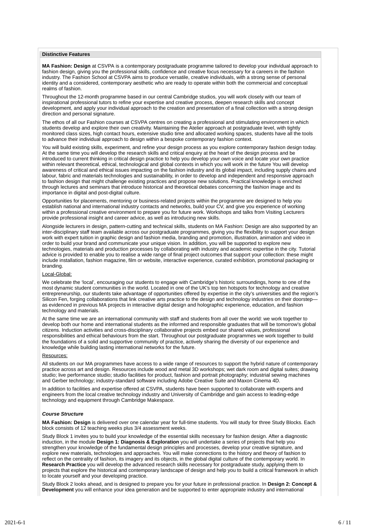### **Distinctive Features**

**MA Fashion: Design** at CSVPA is a contemporary postgraduate programme tailored to develop your individual approach to fashion design, giving you the professional skills, confidence and creative focus necessary for a careers in the fashion industry. The Fashion School at CSVPA aims to produce versatile, creative individuals, with a strong sense of personal identity and a considered, contemporary aesthetic who are ready to operate within both the commercial and conceptual realms of fashion.

Throughout the 12-month programme based in our central Cambridge studios, you will work closely with our team of inspirational professional tutors to refine your expertise and creative process, deepen research skills and concept development, and apply your individual approach to the creation and presentation of a final collection with a strong design direction and personal signature.

The ethos of all our Fashion courses at CSVPA centres on creating a professional and stimulating environment in which students develop and explore their own creativity. Maintaining the Atelier approach at postgraduate level, with tightly monitored class sizes, high contact hours, extensive studio time and allocated working spaces, students have all the tools to advance their individual approach to design within a bespoke contemporary fashion context.

You will build existing skills, experiment, and refine your design process as you explore contemporary fashion design today. At the same time you will develop the research skills and critical enquiry at the heart of the design process and be introduced to current thinking in critical design practice to help you develop your own voice and locate your own practice within relevant theoretical, ethical, technological and global contexts in which you will work in the future You will develop awareness of critical and ethical issues impacting on the fashion industry and its global impact, including supply chains and labour, fabric and materials technologies and sustainability, in order to develop and independent and responsive approach to fashion design that might challenge existing practices and propose new solutions. Practical knowledge is enriched through lectures and seminars that introduce historical and theoretical debates concerning the fashion image and its importance in digital and post-digital culture.

Opportunities for placements, mentoring or business-related projects within the programme are designed to help you establish national and international industry contacts and networks, build your CV, and give you experience of working within a professional creative environment to prepare you for future work. Workshops and talks from Visiting Lecturers provide professional insight and career advice, as well as introducing new skills.

Alongside lecturers in design, pattern-cutting and technical skills, students on MA Fashion: Design are also supported by an inter-disciplinary staff team available across our postgraduate programmes, giving you the flexibility to support your design work with expert tuition in graphic design and fashion media, branding and promotion, illustration, animation and video in order to build your brand and communicate your unique vision. In addition, you will be supported to explore new technologies, materials and production processes by collaborating with industry and academic expertise in the city. Tutorial advice is provided to enable you to realise a wide range of final project outcomes that support your collection: these might include installation, fashion magazine, film or website, interactive experience, curated exhibition, promotional packaging or branding.

#### Local-Global:

We celebrate the 'local', encouraging our students to engage with Cambridge's historic surroundings, home to one of the most dynamic student communities in the world. Located in one of the UK's top ten hotspots for technology and creative entrepreneurship, our students take advantage of opportunities offered by expertise in the city's universities and the region's Silicon Fen, forging collaborations that link creative arts practice to the design and technology industries on their doorstep as evidenced in previous MA projects in interactive digital design and holographic experience, education, and fashion technology and materials.

At the same time we are an international community with staff and students from all over the world: we work together to develop both our home and international students as the informed and responsible graduates that will be tomorrow's global citizens. Induction activities and cross-disciplinary collaborative projects embed our shared values, professional responsibilities and ethical behaviours from the start. Throughout our postgraduate programmes we work together to build the foundations of a solid and supportive community of practice, actively sharing the diversity of our experience and knowledge while building lasting international networks for the future.

### Resources:

All students on our MA programmes have access to a wide range of resources to support the hybrid nature of contemporary practice across art and design. Resources include wood and metal 3D workshops; wet dark room and digital suites; drawing studio; live performance studio; studio facilities for product, fashion and portrait photography; industrial sewing machines and Gerber technology; industry-standard software including Adobe Creative Suite and Maxon Cinema 4D.

In addition to facilities and expertise offered at CSVPA, students have been supported to collaborate with experts and engineers from the local creative technology industry and University of Cambridge and gain access to leading-edge technology and equipment through Cambridge Makespace.

#### *Course Structure*

**MA Fashion: Design** is delivered over one calendar year for full-time students. You will study for three Study Blocks. Each block consists of 12 teaching weeks plus 3/4 assessment weeks.

Study Block 1 invites you to build your knowledge of the essential skills necessary for fashion design. After a diagnostic induction, in the module **Design 1: Diagnosis & Exploration** you will undertake a series of projects that help you strengthen your knowledge of the fundamental design principles and processes, develop your creative signature, and explore new materials, technologies and approaches. You will make connections to the history and theory of fashion to reflect on the centrality of fashion, its imagery and its objects, in the global digital culture of the contemporary world. In **Research Practice** you will develop the advanced research skills necessary for postgraduate study, applying them to projects that explore the historical and contemporary landscape of design and help you to build a critical framework in which to locate yourself and your developing practice.

Study Block 2 looks ahead, and is designed to prepare you for your future in professional practice. In **Design 2: Concept & Development** you will enhance your idea generation and be supported to enter appropriate industry and international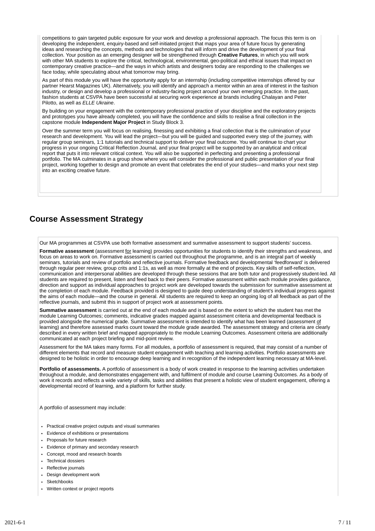competitions to gain targeted public exposure for your work and develop a professional approach. The focus this term is on developing the independent, enquiry-based and self-initiated project that maps your area of future focus by generating ideas and researching the concepts, methods and technologies that will inform and drive the development of your final collection. Your position as an emerging designer will be strengthened through **Creative Futures**, in which you will work with other MA students to explore the critical, technological, environmental, geo-political and ethical issues that impact on contemporary creative practice—and the ways in which artists and designers today are responding to the challenges we face today, while speculating about what tomorrow may bring.

As part of this module you will have the opportunity apply for an internship (including competitive internships offered by our partner Hearst Magazines UK). Alternatively, you will identify and approach a mentor within an area of interest in the fashion industry, or design and develop a professional or industry-facing project around your own emerging practice. In the past, fashion students at CSVPA have been successful at securing work experience at brands including Chalayan and Peter Pilotto, as well as *ELLE Ukraine*.

By building on your engagement with the contemporary professional practice of your discipline and the exploratory projects and prototypes you have already completed, you will have the confidence and skills to realise a final collection in the capstone module **Independent Major Project** in Study Block 3.

Over the summer term you will focus on realising, finessing and exhibiting a final collection that is the culmination of your research and development. You will lead the project—but you will be guided and supported every step of the journey, with regular group seminars, 1:1 tutorials and technical support to deliver your final outcome. You will continue to chart your progress in your ongoing Critical Reflection Journal, and your final project will be supported by an analytical and critical report that puts it into relevant critical context. You will also be supported in perfecting and presenting a professional portfolio. The MA culminates in a group show where you will consider the professional and public presentation of your final project, working together to design and promote an event that celebrates the end of your studies—and marks your next step into an exciting creative future.

# **Course Assessment Strategy**

Our MA programmes at CSVPA use both formative assessment and summative assessment to support students' success.

Formative assessment (assessment for learning) provides opportunities for students to identify their strengths and weakness, and focus on areas to work on. Formative assessment is carried out throughout the programme, and is an integral part of weekly seminars, tutorials and review of portfolio and reflective journals. Formative feedback and developmental 'feedforward' is delivered through regular peer review, group crits and 1:1s, as well as more formally at the end of projects. Key skills of self-reflection, communication and interpersonal abilities are developed through these sessions that are both tutor and progressively student-led. All students are required to present, listen and feed back to their peers. Formative assessment within each module provides guidance, direction and support as individual approaches to project work are developed towards the submission for summative assessment at the completion of each module. Feedback provided is designed to guide deep understanding of student's individual progress against the aims of each module—and the course in general. All students are required to keep an ongoing log of all feedback as part of the reflective journals, and submit this in support of project work at assessment points.

**Summative assessment** is carried out at the end of each module and is based on the extent to which the student has met the module Learning Outcomes; comments, indicative grades mapped against assessment criteria and developmental feedback is provided alongside the numerical grade. Summative assessment is intended to identify what has been learned (assessment of learning) and therefore assessed marks count toward the module grade awarded. The assessment strategy and criteria are clearly described in every written brief and mapped appropriately to the module Learning Outcomes. Assessment criteria are additionally communicated at each project briefing and mid-point review.

Assessment for the MA takes many forms. For all modules, a portfolio of assessment is required, that may consist of a number of different elements that record and measure student engagement with teaching and learning activities. Portfolio assessments are designed to be holistic in order to encourage deep learning and in recognition of the independent learning necessary at MA-level.

**Portfolio of assessments.** A portfolio of assessment is a body of work created in response to the learning activities undertaken throughout a module, and demonstrates engagement with, and fulfilment of module and course Learning Outcomes. As a body of work it records and reflects a wide variety of skills, tasks and abilities that present a holistic view of student engagement, offering a developmental record of learning, and a platform for further study.

A portfolio of assessment may include:

- Practical creative project outputs and visual summaries
- Evidence of exhibitions or presentations
- Proposals for future research
- Evidence of primary and secondary research
- Concept, mood and research boards
- Technical dossiers
- **Reflective journals**
- Design development work
- Sketchbooks
- Written context or project reports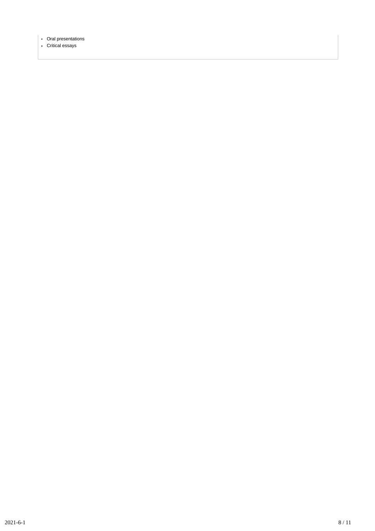- Oral presentations
- Critical essays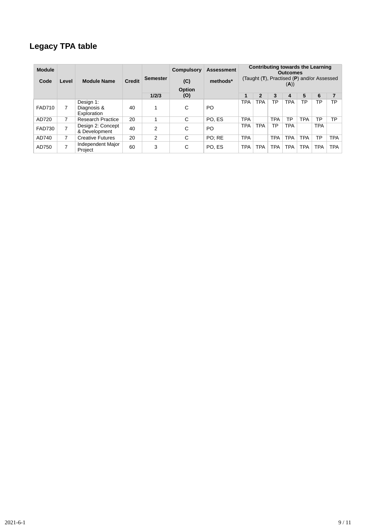# **Legacy TPA table**

| <b>Module</b><br>Code | Level | <b>Module Name</b>                      | <b>Credit</b> | <b>Semester</b> | Compulsory<br>(C) | Assessment<br>methods* |            | Contributing towards the Learning<br><b>Outcomes</b><br>(Taught (T), Practised (P) and/or Assessed |            |            |            |            |            |  |
|-----------------------|-------|-----------------------------------------|---------------|-----------------|-------------------|------------------------|------------|----------------------------------------------------------------------------------------------------|------------|------------|------------|------------|------------|--|
|                       |       |                                         |               |                 | Option            |                        | (A))       |                                                                                                    |            |            |            |            |            |  |
|                       |       |                                         |               | 1/2/3           | (O)               |                        | 1          | $\overline{2}$                                                                                     | 3          | 4          | 5          | 6          |            |  |
| <b>FAD710</b>         |       | Design 1:<br>Diagnosis &<br>Exploration | 40            | $\mathbf{1}$    | C                 | <b>PO</b>              | <b>TPA</b> | <b>TPA</b>                                                                                         | ТP         | <b>TPA</b> | ТP         | ТP         | TP         |  |
| AD720                 | 7     | <b>Research Practice</b>                | 20            |                 | C                 | PO. ES                 | <b>TPA</b> |                                                                                                    | <b>TPA</b> | TP         | <b>TPA</b> | ТP         | TP         |  |
| <b>FAD730</b>         | ⇁     | Design 2: Concept<br>& Development      | 40            | $\mathcal{P}$   | C                 | <b>PO</b>              | <b>TPA</b> | <b>TPA</b>                                                                                         | TP         | <b>TPA</b> |            | <b>TPA</b> |            |  |
| AD740                 | 7     | <b>Creative Futures</b>                 | 20            | 2               | С                 | PO: RE                 | <b>TPA</b> |                                                                                                    | <b>TPA</b> | <b>TPA</b> | <b>TPA</b> | ТP         | <b>TPA</b> |  |
| AD750                 | ⇁     | Independent Major<br>Project            | 60            | 3               | С                 | PO. ES                 | <b>TPA</b> | <b>TPA</b>                                                                                         | TPA        | <b>TPA</b> | <b>TPA</b> | <b>TPA</b> | <b>TPA</b> |  |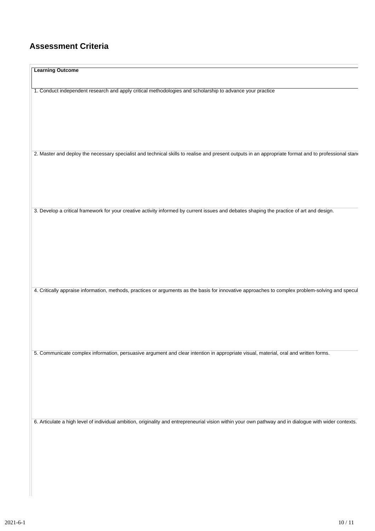# **Assessment Criteria**

| <b>Learning Outcome</b>                                                                                                                                |
|--------------------------------------------------------------------------------------------------------------------------------------------------------|
| 1. Conduct independent research and apply critical methodologies and scholarship to advance your practice                                              |
| 2. Master and deploy the necessary specialist and technical skills to realise and present outputs in an appropriate format and to professional stand   |
| 3. Develop a critical framework for your creative activity informed by current issues and debates shaping the practice of art and design.              |
| 4. Critically appraise information, methods, practices or arguments as the basis for innovative approaches to complex problem-solving and specul       |
| 5. Communicate complex information, persuasive argument and clear intention in appropriate visual, material, oral and written forms.                   |
|                                                                                                                                                        |
| 6. Articulate a high level of individual ambition, originality and entrepreneurial vision within your own pathway and in dialogue with wider contexts. |
|                                                                                                                                                        |